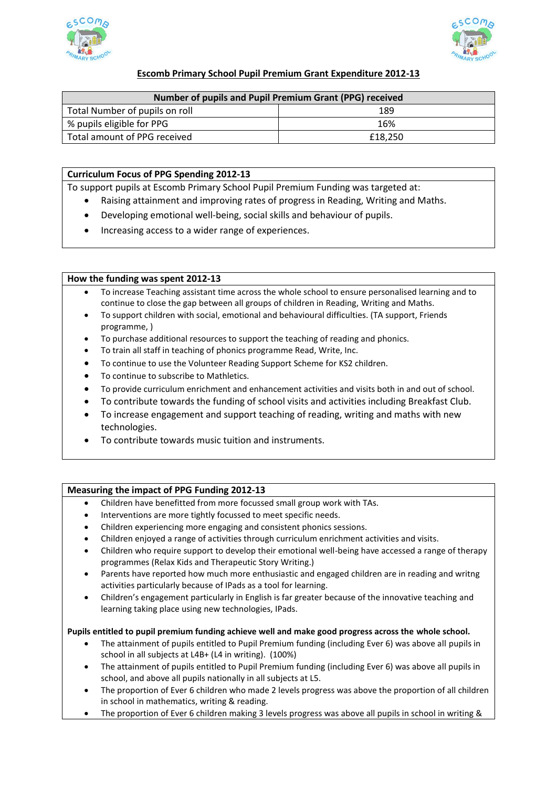



# **Escomb Primary School Pupil Premium Grant Expenditure 2012-13**

| Number of pupils and Pupil Premium Grant (PPG) received |         |
|---------------------------------------------------------|---------|
| Total Number of pupils on roll                          | 189     |
| % pupils eligible for PPG                               | 16%     |
| Total amount of PPG received                            | £18.250 |

## **Curriculum Focus of PPG Spending 2012-13**

To support pupils at Escomb Primary School Pupil Premium Funding was targeted at:

- Raising attainment and improving rates of progress in Reading, Writing and Maths.
- Developing emotional well-being, social skills and behaviour of pupils.
- Increasing access to a wider range of experiences.

## **How the funding was spent 2012-13**

- To increase Teaching assistant time across the whole school to ensure personalised learning and to continue to close the gap between all groups of children in Reading, Writing and Maths.
- To support children with social, emotional and behavioural difficulties. (TA support, Friends programme, )
- To purchase additional resources to support the teaching of reading and phonics.
- To train all staff in teaching of phonics programme Read, Write, Inc.
- To continue to use the Volunteer Reading Support Scheme for KS2 children.
- To continue to subscribe to Mathletics.
- To provide curriculum enrichment and enhancement activities and visits both in and out of school.
- To contribute towards the funding of school visits and activities including Breakfast Club.
- To increase engagement and support teaching of reading, writing and maths with new technologies.
- To contribute towards music tuition and instruments.

## **Measuring the impact of PPG Funding 2012-13**

- Children have benefitted from more focussed small group work with TAs.
- Interventions are more tightly focussed to meet specific needs.
- Children experiencing more engaging and consistent phonics sessions.
- Children enjoyed a range of activities through curriculum enrichment activities and visits.
- Children who require support to develop their emotional well-being have accessed a range of therapy programmes (Relax Kids and Therapeutic Story Writing.)
- Parents have reported how much more enthusiastic and engaged children are in reading and writng activities particularly because of IPads as a tool for learning.
- Children's engagement particularly in English is far greater because of the innovative teaching and learning taking place using new technologies, IPads.

### **Pupils entitled to pupil premium funding achieve well and make good progress across the whole school.**

- The attainment of pupils entitled to Pupil Premium funding (including Ever 6) was above all pupils in school in all subjects at L4B+ (L4 in writing). (100%)
- The attainment of pupils entitled to Pupil Premium funding (including Ever 6) was above all pupils in school, and above all pupils nationally in all subjects at L5.
- The proportion of Ever 6 children who made 2 levels progress was above the proportion of all children in school in mathematics, writing & reading.
- The proportion of Ever 6 children making 3 levels progress was above all pupils in school in writing &